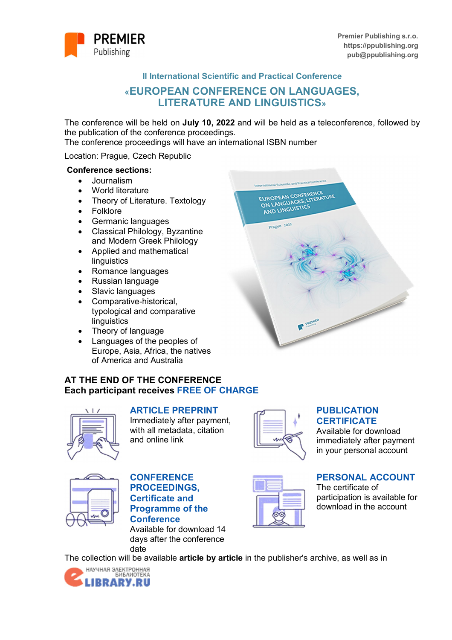

**II International Scientific and Practical Conference**

# **«EUROPEAN CONFERENCE ON LANGUAGES, LITERATURE AND LINGUISTICS»**

The conference will be held on **July 10, 2022** and will be held as a teleconference, followed by the publication of the conference proceedings.

The conference proceedings will have an international ISBN number

Location: Prague, Czech Republic

### **Conference sections:**

- Journalism
- World literature
- Theory of Literature. Textology
- Folklore
- Germanic languages
- Classical Philology, Byzantine and Modern Greek Philology
- Applied and mathematical linguistics
- Romance languages
- Russian language
- Slavic languages
- Comparative-historical, typological and comparative **linguistics**
- Theory of language
- Languages of the peoples of Europe, Asia, Africa, the natives of America and Australia

### **AT THE END OF THE CONFERENCE Each participant receives FREE OF CHARGE**



### **ARTICLE PREPRINT**

Immediately after payment, with all metadata, citation and online link



## **PUBLICATION CERTIFICATE**

Available for download immediately after payment in your personal account



### **CONFERENCE PROCEEDINGS, Certificate and Programme of the Conference**

Available for download 14 days after the conference date



# **PERSONAL ACCOUNT**

The certificate of participation is available for download in the account





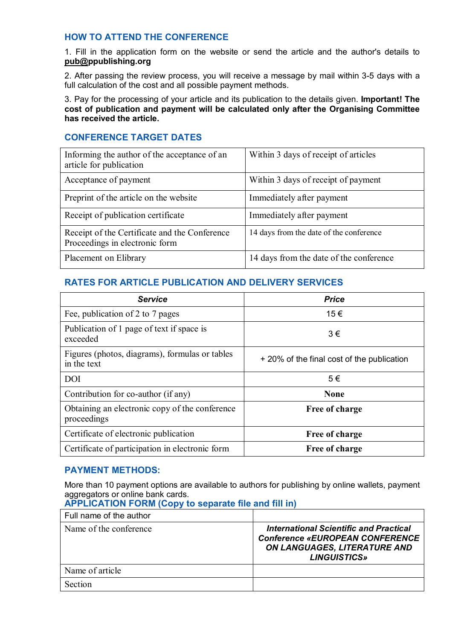## **HOW TO ATTEND THE CONFERENCE**

1. Fill in the application form on the website or send the article and the author's details to **pub@ppublishing.org**

2. After passing the review process, you will receive a message by mail within 3-5 days with a full calculation of the cost and all possible payment methods.

3. Pay for the processing of your article and its publication to the details given. **Important! The cost of publication and payment will be calculated only after the Organising Committee has received the article.**

# **CONFERENCE TARGET DATES**

| Informing the author of the acceptance of an<br>article for publication         | Within 3 days of receipt of articles    |  |
|---------------------------------------------------------------------------------|-----------------------------------------|--|
| Acceptance of payment                                                           | Within 3 days of receipt of payment     |  |
| Preprint of the article on the website                                          | Immediately after payment               |  |
| Receipt of publication certificate                                              | Immediately after payment               |  |
| Receipt of the Certificate and the Conference<br>Proceedings in electronic form | 14 days from the date of the conference |  |
| Placement on Elibrary                                                           | 14 days from the date of the conference |  |

## **RATES FOR ARTICLE PUBLICATION AND DELIVERY SERVICES**

| <b>Service</b>                                                | <b>Price</b>                               |  |
|---------------------------------------------------------------|--------------------------------------------|--|
| Fee, publication of 2 to 7 pages                              | 15€                                        |  |
| Publication of 1 page of text if space is<br>exceeded         | $3 \in$                                    |  |
| Figures (photos, diagrams), formulas or tables<br>in the text | + 20% of the final cost of the publication |  |
| <b>DOI</b>                                                    | 5€                                         |  |
| Contribution for co-author (if any)                           | <b>None</b>                                |  |
| Obtaining an electronic copy of the conference<br>proceedings | Free of charge                             |  |
| Certificate of electronic publication                         | Free of charge                             |  |
| Certificate of participation in electronic form               | Free of charge                             |  |

### **PAYMENT METHODS:**

More than 10 payment options are available to authors for publishing by online wallets, payment aggregators or online bank cards.

**APPLICATION FORM (Copy to separate file and fill in)**

| Full name of the author |                                                                                                                                                |
|-------------------------|------------------------------------------------------------------------------------------------------------------------------------------------|
| Name of the conference  | <b>International Scientific and Practical</b><br><b>Conference «EUROPEAN CONFERENCE</b><br>ON LANGUAGES, LITERATURE AND<br><b>LINGUISTICS»</b> |
| Name of article         |                                                                                                                                                |
| Section                 |                                                                                                                                                |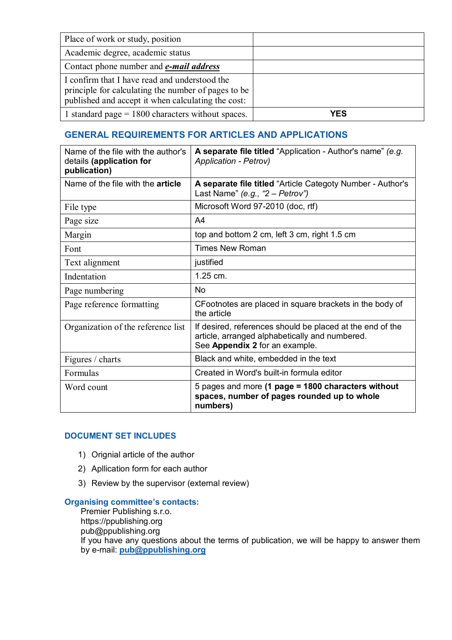| Place of work or study, position                                                                                                                           |     |
|------------------------------------------------------------------------------------------------------------------------------------------------------------|-----|
| Academic degree, academic status                                                                                                                           |     |
| Contact phone number and <b><i>e-mail address</i></b>                                                                                                      |     |
| I confirm that I have read and understood the<br>principle for calculating the number of pages to be<br>published and accept it when calculating the cost: |     |
| 1 standard page $= 1800$ characters without spaces.                                                                                                        | YES |

# **GENERAL REQUIREMENTS FOR ARTICLES AND APPLICATIONS**

| Name of the file with the author's<br>details (application for<br>publication) | A separate file titled "Application - Author's name" (e.g.<br><b>Application - Petrov)</b>                                                    |  |
|--------------------------------------------------------------------------------|-----------------------------------------------------------------------------------------------------------------------------------------------|--|
| Name of the file with the <b>article</b>                                       | A separate file titled "Article Categoty Number - Author's<br>Last Name" (e.g., " $2 -$ Petrov")                                              |  |
| File type                                                                      | Microsoft Word 97-2010 (doc, rtf)                                                                                                             |  |
| Page size                                                                      | A <sub>4</sub>                                                                                                                                |  |
| Margin                                                                         | top and bottom 2 cm, left 3 cm, right 1.5 cm                                                                                                  |  |
| Font                                                                           | <b>Times New Roman</b>                                                                                                                        |  |
| Text alignment                                                                 | justified                                                                                                                                     |  |
| Indentation                                                                    | 1.25 cm.                                                                                                                                      |  |
| Page numbering                                                                 | <b>No</b>                                                                                                                                     |  |
| Page reference formatting                                                      | CFootnotes are placed in square brackets in the body of<br>the article                                                                        |  |
| Organization of the reference list                                             | If desired, references should be placed at the end of the<br>article, arranged alphabetically and numbered.<br>See Appendix 2 for an example. |  |
| Figures / charts                                                               | Black and white, embedded in the text                                                                                                         |  |
| Formulas                                                                       | Created in Word's built-in formula editor                                                                                                     |  |
| Word count                                                                     | 5 pages and more (1 page = 1800 characters without<br>spaces, number of pages rounded up to whole<br>numbers)                                 |  |

### **DOCUMENT SET INCLUDES**

- 1) Orignial article of the author
- 2) Apllication form for each author
- 3) Review by the supervisor (external review)

#### **Organising committee's contacts:**

Premier Publishing s.r.o. https://ppublishing.org pub@ppublishing.org If you have any questions about the terms of publication, we will be happy to answer them by e-mail: **pub@ppublishing.org**